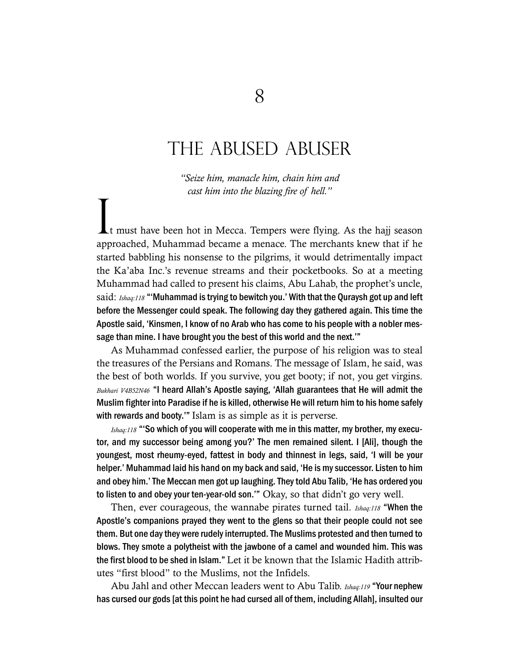## The abused abuser

*"Seize him, manacle him, chain him and cast him into the blazing fire of hell."*

 $\blacktriangle$ t must have been hot in Mecca. Tempers were flying. As the hajj season approached, Muhammad became a menace. The merchants knew that if he started babbling his nonsense to the pilgrims, it would detrimentally impact the Ka'aba Inc.'s revenue streams and their pocketbooks. So at a meeting Muhammad had called to present his claims, Abu Lahab, the prophet's uncle, said: *Ishaq:118* "'Muhammad is trying to bewitch you.' With that the Quraysh got up and left before the Messenger could speak. The following day they gathered again. This time the Apostle said, 'Kinsmen, I know of no Arab who has come to his people with a nobler message than mine. I have brought you the best of this world and the next.'"

As Muhammad confessed earlier, the purpose of his religion was to steal the treasures of the Persians and Romans. The message of Islam, he said, was the best of both worlds. If you survive, you get booty; if not, you get virgins. *Bukhari V4B52N46* "I heard Allah's Apostle saying, 'Allah guarantees that He will admit the Muslim fighter into Paradise if he is killed, otherwise He will return him to his home safely with rewards and booty.'" Islam is as simple as it is perverse.

*Ishaq:118* "'So which of you will cooperate with me in this matter, my brother, my executor, and my successor being among you?' The men remained silent. I [Ali], though the youngest, most rheumy-eyed, fattest in body and thinnest in legs, said, 'I will be your helper.' Muhammad laid his hand on my back and said, 'He is my successor. Listen to him and obey him.' The Meccan men got up laughing. They told Abu Talib, 'He has ordered you to listen to and obey your ten-year-old son.'" Okay, so that didn't go very well.

Then, ever courageous, the wannabe pirates turned tail. *Ishaq:118* "When the Apostle's companions prayed they went to the glens so that their people could not see them. But one day they were rudely interrupted. The Muslims protested and then turned to blows. They smote a polytheist with the jawbone of a camel and wounded him. This was the first blood to be shed in Islam." Let it be known that the Islamic Hadith attributes "first blood" to the Muslims, not the Infidels.

Abu Jahl and other Meccan leaders went to Abu Talib. *Ishaq:119* "Your nephew has cursed our gods [at this point he had cursed all of them, including Allah], insulted our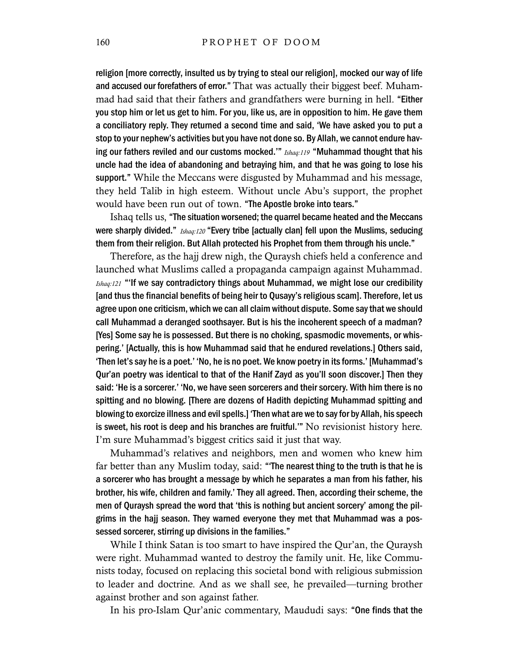religion [more correctly, insulted us by trying to steal our religion], mocked our way of life and accused our forefathers of error." That was actually their biggest beef. Muhammad had said that their fathers and grandfathers were burning in hell. "Either you stop him or let us get to him. For you, like us, are in opposition to him. He gave them a conciliatory reply. They returned a second time and said, 'We have asked you to put a stop to your nephew's activities but you have not done so. By Allah, we cannot endure having our fathers reviled and our customs mocked.'" *Ishaq:119* "Muhammad thought that his uncle had the idea of abandoning and betraying him, and that he was going to lose his support." While the Meccans were disgusted by Muhammad and his message, they held Talib in high esteem. Without uncle Abu's support, the prophet would have been run out of town. "The Apostle broke into tears."

Ishaq tells us, "The situation worsened; the quarrel became heated and the Meccans were sharply divided." *Ishaq:120* "Every tribe [actually clan] fell upon the Muslims, seducing them from their religion. But Allah protected his Prophet from them through his uncle."

Therefore, as the hajj drew nigh, the Quraysh chiefs held a conference and launched what Muslims called a propaganda campaign against Muhammad. *Ishaq:121* "'If we say contradictory things about Muhammad, we might lose our credibility [and thus the financial benefits of being heir to Qusayy's religious scam]. Therefore, let us agree upon one criticism, which we can all claim without dispute. Some say that we should call Muhammad a deranged soothsayer. But is his the incoherent speech of a madman? [Yes] Some say he is possessed. But there is no choking, spasmodic movements, or whispering.' [Actually, this is how Muhammad said that he endured revelations.] Others said, 'Then let's say he is a poet.' 'No, he is no poet. We know poetry in its forms.' [Muhammad's Qur'an poetry was identical to that of the Hanif Zayd as you'll soon discover.] Then they said: 'He is a sorcerer.' 'No, we have seen sorcerers and their sorcery. With him there is no spitting and no blowing. [There are dozens of Hadith depicting Muhammad spitting and blowing to exorcize illness and evil spells.] 'Then what are we to say for by Allah, his speech is sweet, his root is deep and his branches are fruitful.'" No revisionist history here. I'm sure Muhammad's biggest critics said it just that way.

Muhammad's relatives and neighbors, men and women who knew him far better than any Muslim today, said: "'The nearest thing to the truth is that he is a sorcerer who has brought a message by which he separates a man from his father, his brother, his wife, children and family.' They all agreed. Then, according their scheme, the men of Quraysh spread the word that 'this is nothing but ancient sorcery' among the pilgrims in the hajj season. They warned everyone they met that Muhammad was a possessed sorcerer, stirring up divisions in the families."

While I think Satan is too smart to have inspired the Qur'an, the Quraysh were right. Muhammad wanted to destroy the family unit. He, like Communists today, focused on replacing this societal bond with religious submission to leader and doctrine. And as we shall see, he prevailed—turning brother against brother and son against father.

In his pro-Islam Qur'anic commentary, Maududi says: "One finds that the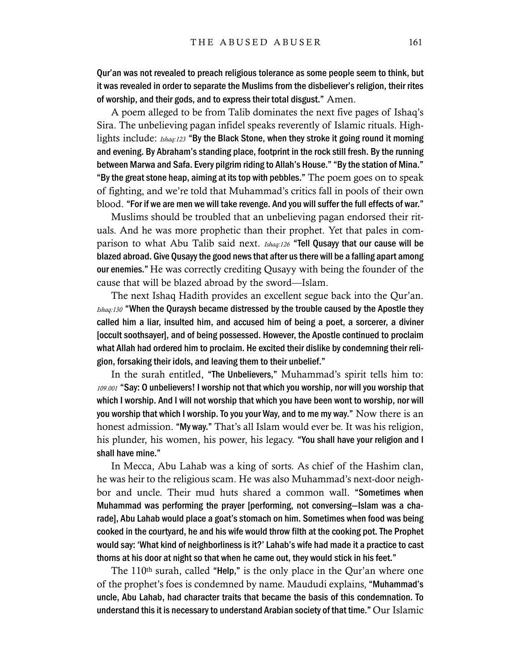Qur'an was not revealed to preach religious tolerance as some people seem to think, but it was revealed in order to separate the Muslims from the disbeliever's religion, their rites of worship, and their gods, and to express their total disgust." Amen.

A poem alleged to be from Talib dominates the next five pages of Ishaq's Sira. The unbelieving pagan infidel speaks reverently of Islamic rituals. Highlights include: *Ishaq:123* "By the Black Stone, when they stroke it going round it morning and evening. By Abraham's standing place, footprint in the rock still fresh. By the running between Marwa and Safa. Every pilgrim riding to Allah's House." "By the station of Mina." "By the great stone heap, aiming at its top with pebbles." The poem goes on to speak of fighting, and we're told that Muhammad's critics fall in pools of their own blood. "For if we are men we will take revenge. And you will suffer the full effects of war."

Muslims should be troubled that an unbelieving pagan endorsed their rituals. And he was more prophetic than their prophet. Yet that pales in comparison to what Abu Talib said next. *Ishaq:126* "Tell Qusayy that our cause will be blazed abroad. Give Qusayy the good news that after us there will be a falling apart among our enemies." He was correctly crediting Qusayy with being the founder of the cause that will be blazed abroad by the sword—Islam.

The next Ishaq Hadith provides an excellent segue back into the Qur'an. *Ishaq:130* "When the Quraysh became distressed by the trouble caused by the Apostle they called him a liar, insulted him, and accused him of being a poet, a sorcerer, a diviner [occult soothsayer], and of being possessed. However, the Apostle continued to proclaim what Allah had ordered him to proclaim. He excited their dislike by condemning their religion, forsaking their idols, and leaving them to their unbelief."

In the surah entitled, "The Unbelievers," Muhammad's spirit tells him to: *109.001* "Say: O unbelievers! I worship not that which you worship, nor will you worship that which I worship. And I will not worship that which you have been wont to worship, nor will you worship that which I worship. To you your Way, and to me my way." Now there is an honest admission. "My way." That's all Islam would ever be. It was his religion, his plunder, his women, his power, his legacy. "You shall have your religion and I shall have mine."

In Mecca, Abu Lahab was a king of sorts. As chief of the Hashim clan, he was heir to the religious scam. He was also Muhammad's next-door neighbor and uncle. Their mud huts shared a common wall. "Sometimes when Muhammad was performing the prayer [performing, not conversing—Islam was a charade], Abu Lahab would place a goat's stomach on him. Sometimes when food was being cooked in the courtyard, he and his wife would throw filth at the cooking pot. The Prophet would say: 'What kind of neighborliness is it?' Lahab's wife had made it a practice to cast thorns at his door at night so that when he came out, they would stick in his feet."

The 110th surah, called "Help," is the only place in the Qur'an where one of the prophet's foes is condemned by name. Maududi explains, "Muhammad's uncle, Abu Lahab, had character traits that became the basis of this condemnation. To understand this it is necessary to understand Arabian society of that time." Our Islamic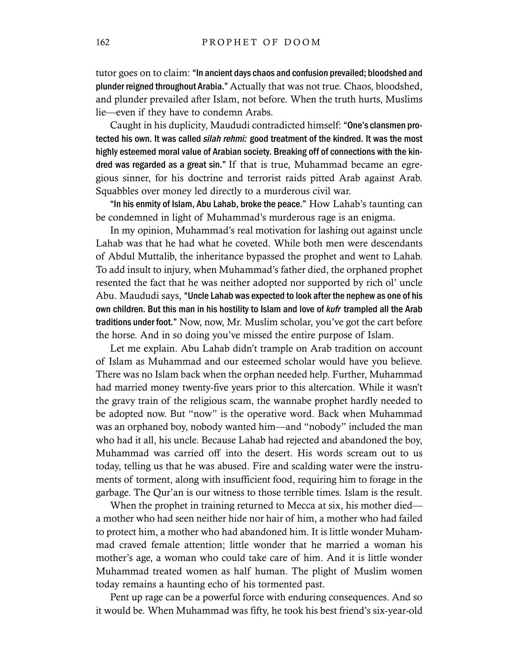tutor goes on to claim: "In ancient days chaos and confusion prevailed; bloodshed and plunder reigned throughout Arabia." Actually that was not true. Chaos, bloodshed, and plunder prevailed after Islam, not before. When the truth hurts, Muslims lie—even if they have to condemn Arabs.

Caught in his duplicity, Maududi contradicted himself: "One's clansmen protected his own. It was called silah rehmi: good treatment of the kindred. It was the most highly esteemed moral value of Arabian society. Breaking off of connections with the kindred was regarded as a great sin." If that is true, Muhammad became an egregious sinner, for his doctrine and terrorist raids pitted Arab against Arab. Squabbles over money led directly to a murderous civil war.

"In his enmity of Islam, Abu Lahab, broke the peace." How Lahab's taunting can be condemned in light of Muhammad's murderous rage is an enigma.

In my opinion, Muhammad's real motivation for lashing out against uncle Lahab was that he had what he coveted. While both men were descendants of Abdul Muttalib, the inheritance bypassed the prophet and went to Lahab. To add insult to injury, when Muhammad's father died, the orphaned prophet resented the fact that he was neither adopted nor supported by rich ol' uncle Abu. Maududi says, "Uncle Lahab was expected to look after the nephew as one of his own children. But this man in his hostility to Islam and love of *kufr* trampled all the Arab traditions under foot." Now, now, Mr. Muslim scholar, you've got the cart before the horse. And in so doing you've missed the entire purpose of Islam.

Let me explain. Abu Lahab didn't trample on Arab tradition on account of Islam as Muhammad and our esteemed scholar would have you believe. There was no Islam back when the orphan needed help. Further, Muhammad had married money twenty-five years prior to this altercation. While it wasn't the gravy train of the religious scam, the wannabe prophet hardly needed to be adopted now. But "now" is the operative word. Back when Muhammad was an orphaned boy, nobody wanted him—and "nobody" included the man who had it all, his uncle. Because Lahab had rejected and abandoned the boy, Muhammad was carried off into the desert. His words scream out to us today, telling us that he was abused. Fire and scalding water were the instruments of torment, along with insufficient food, requiring him to forage in the garbage. The Qur'an is our witness to those terrible times. Islam is the result.

When the prophet in training returned to Mecca at six, his mother died a mother who had seen neither hide nor hair of him, a mother who had failed to protect him, a mother who had abandoned him. It is little wonder Muhammad craved female attention; little wonder that he married a woman his mother's age, a woman who could take care of him. And it is little wonder Muhammad treated women as half human. The plight of Muslim women today remains a haunting echo of his tormented past.

Pent up rage can be a powerful force with enduring consequences. And so it would be. When Muhammad was fifty, he took his best friend's six-year-old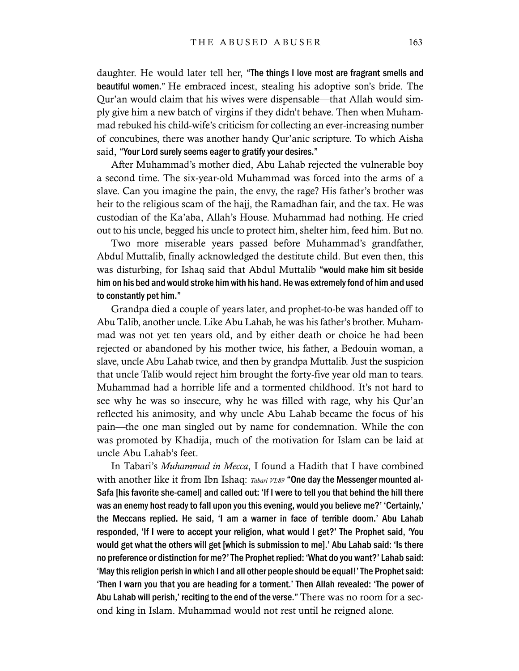daughter. He would later tell her, "The things I love most are fragrant smells and beautiful women." He embraced incest, stealing his adoptive son's bride. The Qur'an would claim that his wives were dispensable—that Allah would simply give him a new batch of virgins if they didn't behave. Then when Muhammad rebuked his child-wife's criticism for collecting an ever-increasing number of concubines, there was another handy Qur'anic scripture. To which Aisha said, "Your Lord surely seems eager to gratify your desires."

After Muhammad's mother died, Abu Lahab rejected the vulnerable boy a second time. The six-year-old Muhammad was forced into the arms of a slave. Can you imagine the pain, the envy, the rage? His father's brother was heir to the religious scam of the hajj, the Ramadhan fair, and the tax. He was custodian of the Ka'aba, Allah's House. Muhammad had nothing. He cried out to his uncle, begged his uncle to protect him, shelter him, feed him. But no.

Two more miserable years passed before Muhammad's grandfather, Abdul Muttalib, finally acknowledged the destitute child. But even then, this was disturbing, for Ishaq said that Abdul Muttalib "would make him sit beside him on his bed and would stroke him with his hand. He was extremely fond of him and used to constantly pet him."

Grandpa died a couple of years later, and prophet-to-be was handed off to Abu Talib, another uncle. Like Abu Lahab, he was his father's brother. Muhammad was not yet ten years old, and by either death or choice he had been rejected or abandoned by his mother twice, his father, a Bedouin woman, a slave, uncle Abu Lahab twice, and then by grandpa Muttalib. Just the suspicion that uncle Talib would reject him brought the forty-five year old man to tears. Muhammad had a horrible life and a tormented childhood. It's not hard to see why he was so insecure, why he was filled with rage, why his Qur'an reflected his animosity, and why uncle Abu Lahab became the focus of his pain—the one man singled out by name for condemnation. While the con was promoted by Khadija, much of the motivation for Islam can be laid at uncle Abu Lahab's feet.

In Tabari's *Muhammad in Mecca*, I found a Hadith that I have combined with another like it from Ibn Ishaq: *Tabari VI:89* "One day the Messenger mounted al-Safa [his favorite she-camel] and called out: 'If I were to tell you that behind the hill there was an enemy host ready to fall upon you this evening, would you believe me?' 'Certainly,' the Meccans replied. He said, 'I am a warner in face of terrible doom.' Abu Lahab responded, 'If I were to accept your religion, what would I get?' The Prophet said, 'You would get what the others will get [which is submission to me].' Abu Lahab said: 'Is there no preference or distinction for me?' The Prophet replied: 'What do you want?' Lahab said: 'May this religion perish in which I and all other people should be equal!' The Prophet said: 'Then I warn you that you are heading for a torment.' Then Allah revealed: 'The power of Abu Lahab will perish,' reciting to the end of the verse." There was no room for a second king in Islam. Muhammad would not rest until he reigned alone.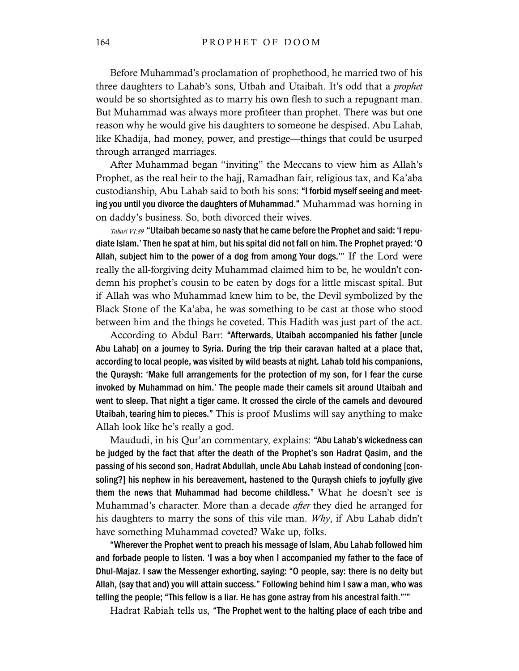Before Muhammad's proclamation of prophethood, he married two of his three daughters to Lahab's sons, Utbah and Utaibah. It's odd that a *prophet* would be so shortsighted as to marry his own flesh to such a repugnant man. But Muhammad was always more profiteer than prophet. There was but one reason why he would give his daughters to someone he despised. Abu Lahab, like Khadija, had money, power, and prestige—things that could be usurped through arranged marriages.

After Muhammad began "inviting" the Meccans to view him as Allah's Prophet, as the real heir to the hajj, Ramadhan fair, religious tax, and Ka'aba custodianship, Abu Lahab said to both his sons: "I forbid myself seeing and meeting you until you divorce the daughters of Muhammad." Muhammad was horning in on daddy's business. So, both divorced their wives.

*Tabari VI:89* "Utaibah became so nasty that he came before the Prophet and said: 'I repudiate Islam.' Then he spat at him, but his spital did not fall on him. The Prophet prayed: 'O Allah, subject him to the power of a dog from among Your dogs.'" If the Lord were really the all-forgiving deity Muhammad claimed him to be, he wouldn't condemn his prophet's cousin to be eaten by dogs for a little miscast spital. But if Allah was who Muhammad knew him to be, the Devil symbolized by the Black Stone of the Ka'aba, he was something to be cast at those who stood between him and the things he coveted. This Hadith was just part of the act.

According to Abdul Barr: "Afterwards, Utaibah accompanied his father [uncle Abu Lahab] on a journey to Syria. During the trip their caravan halted at a place that, according to local people, was visited by wild beasts at night. Lahab told his companions, the Quraysh: 'Make full arrangements for the protection of my son, for I fear the curse invoked by Muhammad on him.' The people made their camels sit around Utaibah and went to sleep. That night a tiger came. It crossed the circle of the camels and devoured Utaibah, tearing him to pieces." This is proof Muslims will say anything to make Allah look like he's really a god.

Maududi, in his Qur'an commentary, explains: "Abu Lahab's wickedness can be judged by the fact that after the death of the Prophet's son Hadrat Qasim, and the passing of his second son, Hadrat Abdullah, uncle Abu Lahab instead of condoning [consoling?] his nephew in his bereavement, hastened to the Quraysh chiefs to joyfully give them the news that Muhammad had become childless." What he doesn't see is Muhammad's character. More than a decade *after* they died he arranged for his daughters to marry the sons of this vile man. *Why*, if Abu Lahab didn't have something Muhammad coveted? Wake up, folks.

"Wherever the Prophet went to preach his message of Islam, Abu Lahab followed him and forbade people to listen. 'I was a boy when I accompanied my father to the face of Dhul-Majaz. I saw the Messenger exhorting, saying: "O people, say: there is no deity but Allah, (say that and) you will attain success." Following behind him I saw a man, who was telling the people; "This fellow is a liar. He has gone astray from his ancestral faith."'"

Hadrat Rabiah tells us, "The Prophet went to the halting place of each tribe and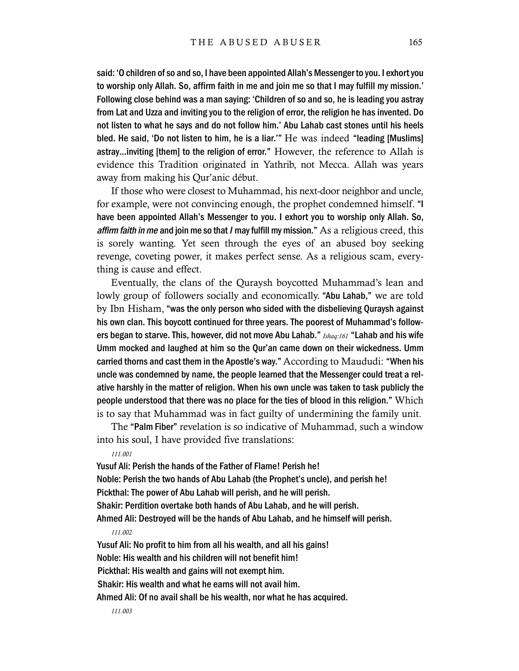said: 'O children of so and so, I have been appointed Allah's Messenger to you. I exhort you to worship only Allah. So, affirm faith in me and join me so that I may fulfill my mission.' Following close behind was a man saying: 'Children of so and so, he is leading you astray from Lat and Uzza and inviting you to the religion of error, the religion he has invented. Do not listen to what he says and do not follow him.' Abu Lahab cast stones until his heels bled. He said, 'Do not listen to him, he is a liar.'" He was indeed "leading [Muslims] astray…inviting [them] to the religion of error." However, the reference to Allah is evidence this Tradition originated in Yathrib, not Mecca. Allah was years away from making his Qur'anic début.

If those who were closest to Muhammad, his next-door neighbor and uncle, for example, were not convincing enough, the prophet condemned himself. "I have been appointed Allah's Messenger to you. I exhort you to worship only Allah. So, *affirm faith in me* and join me so that  $I$  may fulfill my mission." As a religious creed, this is sorely wanting. Yet seen through the eyes of an abused boy seeking revenge, coveting power, it makes perfect sense. As a religious scam, everything is cause and effect.

Eventually, the clans of the Quraysh boycotted Muhammad's lean and lowly group of followers socially and economically. "Abu Lahab," we are told by Ibn Hisham, "was the only person who sided with the disbelieving Quraysh against his own clan. This boycott continued for three years. The poorest of Muhammad's followers began to starve. This, however, did not move Abu Lahab." *Ishaq:161* "Lahab and his wife Umm mocked and laughed at him so the Qur'an came down on their wickedness. Umm carried thorns and cast them in the Apostle's way." According to Maududi: "When his uncle was condemned by name, the people learned that the Messenger could treat a relative harshly in the matter of religion. When his own uncle was taken to task publicly the people understood that there was no place for the ties of blood in this religion." Which is to say that Muhammad was in fact guilty of undermining the family unit.

The "Palm Fiber" revelation is so indicative of Muhammad, such a window into his soul, I have provided five translations:

*111.001*

Yusuf Ali: Perish the hands of the Father of Flame! Perish he! Noble: Perish the two hands of Abu Lahab (the Prophet's uncle), and perish he! Pickthal: The power of Abu Lahab will perish, and he will perish. Shakir: Perdition overtake both hands of Abu Lahab, and he will perish. Ahmed Ali: Destroyed will be the hands of Abu Lahab, and he himself will perish.

*111.002* 

Yusuf Ali: No profit to him from all his wealth, and all his gains! Noble: His wealth and his children will not benefit him! Pickthal: His wealth and gains will not exempt him. Shakir: His wealth and what he earns will not avail him. Ahmed Ali: Of no avail shall be his wealth, nor what he has acquired.

*111.003*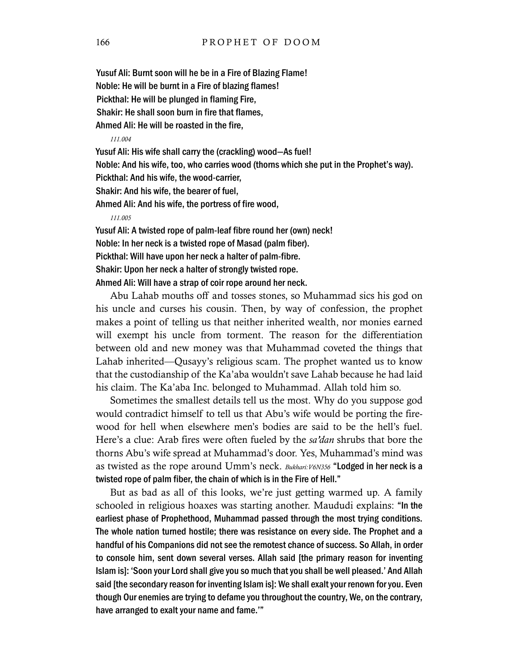Yusuf Ali: Burnt soon will he be in a Fire of Blazing Flame! Noble: He will be burnt in a Fire of blazing flames! Pickthal: He will be plunged in flaming Fire, Shakir: He shall soon burn in fire that flames,

Ahmed Ali: He will be roasted in the fire,

## *111.004*

Yusuf Ali: His wife shall carry the (crackling) wood—As fuel! Noble: And his wife, too, who carries wood (thorns which she put in the Prophet's way). Pickthal: And his wife, the wood-carrier, Shakir: And his wife, the bearer of fuel, Ahmed Ali: And his wife, the portress of fire wood,

## *111.005*

Yusuf Ali: A twisted rope of palm-leaf fibre round her (own) neck! Noble: In her neck is a twisted rope of Masad (palm fiber). Pickthal: Will have upon her neck a halter of palm-fibre. Shakir: Upon her neck a halter of strongly twisted rope. Ahmed Ali: Will have a strap of coir rope around her neck.

Abu Lahab mouths off and tosses stones, so Muhammad sics his god on his uncle and curses his cousin. Then, by way of confession, the prophet makes a point of telling us that neither inherited wealth, nor monies earned will exempt his uncle from torment. The reason for the differentiation between old and new money was that Muhammad coveted the things that Lahab inherited—Qusayy's religious scam. The prophet wanted us to know that the custodianship of the Ka'aba wouldn't save Lahab because he had laid his claim. The Ka'aba Inc. belonged to Muhammad. Allah told him so.

Sometimes the smallest details tell us the most. Why do you suppose god would contradict himself to tell us that Abu's wife would be porting the firewood for hell when elsewhere men's bodies are said to be the hell's fuel. Here's a clue: Arab fires were often fueled by the *sa'dan* shrubs that bore the thorns Abu's wife spread at Muhammad's door. Yes, Muhammad's mind was as twisted as the rope around Umm's neck. *Bukhari:V6N356* "Lodged in her neck is a twisted rope of palm fiber, the chain of which is in the Fire of Hell."

But as bad as all of this looks, we're just getting warmed up. A family schooled in religious hoaxes was starting another. Maududi explains: "In the earliest phase of Prophethood, Muhammad passed through the most trying conditions. The whole nation turned hostile; there was resistance on every side. The Prophet and a handful of his Companions did not see the remotest chance of success. So Allah, in order to console him, sent down several verses. Allah said [the primary reason for inventing Islam is]: 'Soon your Lord shall give you so much that you shall be well pleased.' And Allah said [the secondary reason for inventing Islam is]: We shall exalt your renown for you. Even though Our enemies are trying to defame you throughout the country, We, on the contrary, have arranged to exalt your name and fame.'"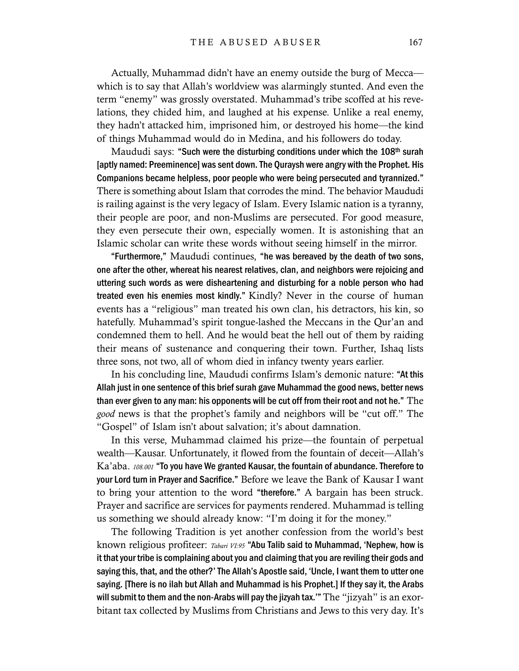Actually, Muhammad didn't have an enemy outside the burg of Mecca which is to say that Allah's worldview was alarmingly stunted. And even the term "enemy" was grossly overstated. Muhammad's tribe scoffed at his revelations, they chided him, and laughed at his expense. Unlike a real enemy, they hadn't attacked him, imprisoned him, or destroyed his home—the kind of things Muhammad would do in Medina, and his followers do today.

Maududi says: "Such were the disturbing conditions under which the 108<sup>th</sup> surah [aptly named: Preeminence] was sent down. The Quraysh were angry with the Prophet. His Companions became helpless, poor people who were being persecuted and tyrannized." There is something about Islam that corrodes the mind. The behavior Maududi is railing against is the very legacy of Islam. Every Islamic nation is a tyranny, their people are poor, and non-Muslims are persecuted. For good measure, they even persecute their own, especially women. It is astonishing that an Islamic scholar can write these words without seeing himself in the mirror.

"Furthermore," Maududi continues, "he was bereaved by the death of two sons, one after the other, whereat his nearest relatives, clan, and neighbors were rejoicing and uttering such words as were disheartening and disturbing for a noble person who had treated even his enemies most kindly." Kindly? Never in the course of human events has a "religious" man treated his own clan, his detractors, his kin, so hatefully. Muhammad's spirit tongue-lashed the Meccans in the Qur'an and condemned them to hell. And he would beat the hell out of them by raiding their means of sustenance and conquering their town. Further, Ishaq lists three sons, not two, all of whom died in infancy twenty years earlier.

In his concluding line, Maududi confirms Islam's demonic nature: "At this Allah just in one sentence of this brief surah gave Muhammad the good news, better news than ever given to any man: his opponents will be cut off from their root and not he." The *good* news is that the prophet's family and neighbors will be "cut off." The "Gospel" of Islam isn't about salvation; it's about damnation.

In this verse, Muhammad claimed his prize—the fountain of perpetual wealth—Kausar. Unfortunately, it flowed from the fountain of deceit—Allah's Ka'aba. *108.001* "To you have We granted Kausar, the fountain of abundance. Therefore to your Lord turn in Prayer and Sacrifice." Before we leave the Bank of Kausar I want to bring your attention to the word "therefore." A bargain has been struck. Prayer and sacrifice are services for payments rendered. Muhammad is telling us something we should already know: "I'm doing it for the money."

The following Tradition is yet another confession from the world's best known religious profiteer: *Tabari VI:95* "Abu Talib said to Muhammad, 'Nephew, how is it that your tribe is complaining about you and claiming that you are reviling their gods and saying this, that, and the other?' The Allah's Apostle said, 'Uncle, I want them to utter one saying. [There is no ilah but Allah and Muhammad is his Prophet.] If they say it, the Arabs will submit to them and the non-Arabs will pay the jizyah tax." The "jizyah" is an exorbitant tax collected by Muslims from Christians and Jews to this very day. It's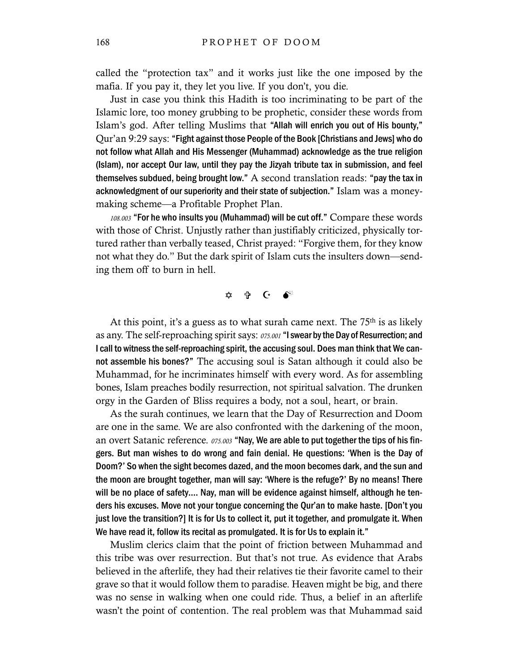called the "protection tax" and it works just like the one imposed by the mafia. If you pay it, they let you live. If you don't, you die.

Just in case you think this Hadith is too incriminating to be part of the Islamic lore, too money grubbing to be prophetic, consider these words from Islam's god. After telling Muslims that "Allah will enrich you out of His bounty," Qur'an 9:29 says: "Fight against those People of the Book [Christians and Jews] who do not follow what Allah and His Messenger (Muhammad) acknowledge as the true religion (Islam), nor accept Our law, until they pay the Jizyah tribute tax in submission, and feel themselves subdued, being brought low." A second translation reads: "pay the tax in acknowledgment of our superiority and their state of subjection." Islam was a moneymaking scheme—a Profitable Prophet Plan.

*108.003* "For he who insults you (Muhammad) will be cut off." Compare these words with those of Christ. Unjustly rather than justifiably criticized, physically tortured rather than verbally teased, Christ prayed: "Forgive them, for they know not what they do." But the dark spirit of Islam cuts the insulters down—sending them off to burn in hell.

**☆ ☆ ☆ ☆** 

At this point, it's a guess as to what surah came next. The  $75<sup>th</sup>$  is as likely as any. The self-reproaching spirit says: *075.001* "I swear by the Day of Resurrection; and I call to witness the self-reproaching spirit, the accusing soul. Does man think that We cannot assemble his bones?" The accusing soul is Satan although it could also be Muhammad, for he incriminates himself with every word. As for assembling bones, Islam preaches bodily resurrection, not spiritual salvation. The drunken orgy in the Garden of Bliss requires a body, not a soul, heart, or brain.

As the surah continues, we learn that the Day of Resurrection and Doom are one in the same. We are also confronted with the darkening of the moon, an overt Satanic reference. *075.003* "Nay, We are able to put together the tips of his fingers. But man wishes to do wrong and fain denial. He questions: 'When is the Day of Doom?' So when the sight becomes dazed, and the moon becomes dark, and the sun and the moon are brought together, man will say: 'Where is the refuge?' By no means! There will be no place of safety…. Nay, man will be evidence against himself, although he tenders his excuses. Move not your tongue concerning the Qur'an to make haste. [Don't you just love the transition?] It is for Us to collect it, put it together, and promulgate it. When We have read it, follow its recital as promulgated. It is for Us to explain it."

Muslim clerics claim that the point of friction between Muhammad and this tribe was over resurrection. But that's not true. As evidence that Arabs believed in the afterlife, they had their relatives tie their favorite camel to their grave so that it would follow them to paradise. Heaven might be big, and there was no sense in walking when one could ride. Thus, a belief in an afterlife wasn't the point of contention. The real problem was that Muhammad said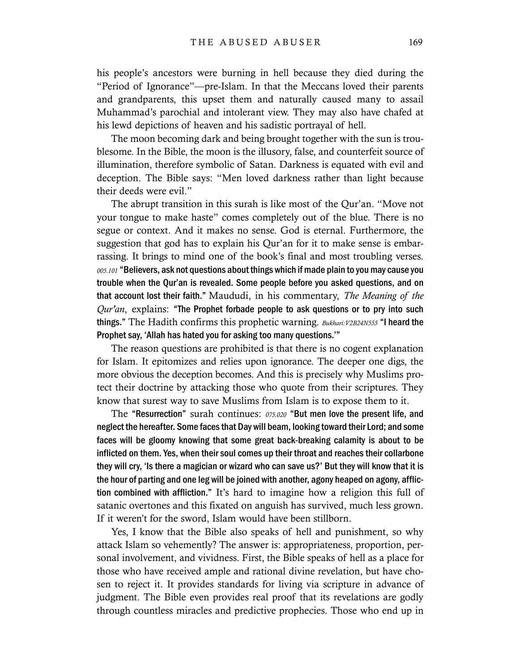his people's ancestors were burning in hell because they died during the "Period of Ignorance"—pre-Islam. In that the Meccans loved their parents and grandparents, this upset them and naturally caused many to assail Muhammad's parochial and intolerant view. They may also have chafed at his lewd depictions of heaven and his sadistic portrayal of hell.

The moon becoming dark and being brought together with the sun is troublesome. In the Bible, the moon is the illusory, false, and counterfeit source of illumination, therefore symbolic of Satan. Darkness is equated with evil and deception. The Bible says: "Men loved darkness rather than light because their deeds were evil."

The abrupt transition in this surah is like most of the Qur'an. "Move not your tongue to make haste" comes completely out of the blue. There is no segue or context. And it makes no sense. God is eternal. Furthermore, the suggestion that god has to explain his Qur'an for it to make sense is embarrassing. It brings to mind one of the book's final and most troubling verses. *005.101* "Believers, ask not questions about things which if made plain to you may cause you trouble when the Qur'an is revealed. Some people before you asked questions, and on that account lost their faith." Maududi, in his commentary, *The Meaning of the Qur'an*, explains: "The Prophet forbade people to ask questions or to pry into such things." The Hadith confirms this prophetic warning. *Bukhari:V2B24N555* "I heard the Prophet say, 'Allah has hated you for asking too many questions.'"

The reason questions are prohibited is that there is no cogent explanation for Islam. It epitomizes and relies upon ignorance. The deeper one digs, the more obvious the deception becomes. And this is precisely why Muslims protect their doctrine by attacking those who quote from their scriptures. They know that surest way to save Muslims from Islam is to expose them to it.

The "Resurrection" surah continues: *075.020* "But men love the present life, and neglect the hereafter. Some faces that Day will beam, looking toward their Lord; and some faces will be gloomy knowing that some great back-breaking calamity is about to be inflicted on them. Yes, when their soul comes up their throat and reaches their collarbone they will cry, 'Is there a magician or wizard who can save us?' But they will know that it is the hour of parting and one leg will be joined with another, agony heaped on agony, affliction combined with affliction." It's hard to imagine how a religion this full of satanic overtones and this fixated on anguish has survived, much less grown. If it weren't for the sword, Islam would have been stillborn.

Yes, I know that the Bible also speaks of hell and punishment, so why attack Islam so vehemently? The answer is: appropriateness, proportion, personal involvement, and vividness. First, the Bible speaks of hell as a place for those who have received ample and rational divine revelation, but have chosen to reject it. It provides standards for living via scripture in advance of judgment. The Bible even provides real proof that its revelations are godly through countless miracles and predictive prophecies. Those who end up in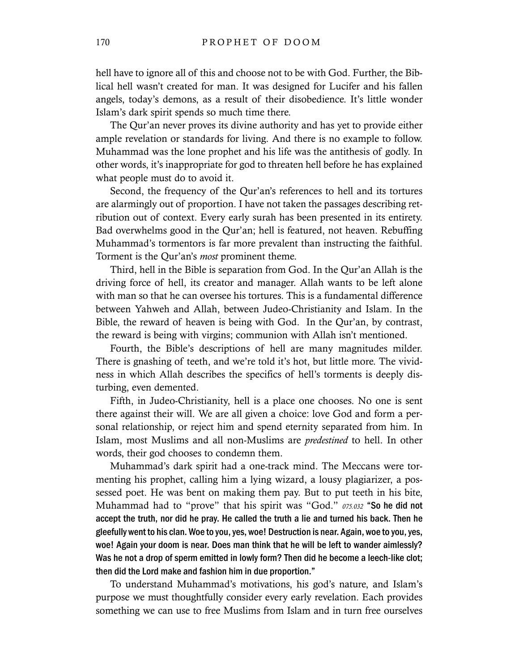hell have to ignore all of this and choose not to be with God. Further, the Biblical hell wasn't created for man. It was designed for Lucifer and his fallen angels, today's demons, as a result of their disobedience. It's little wonder Islam's dark spirit spends so much time there.

The Qur'an never proves its divine authority and has yet to provide either ample revelation or standards for living. And there is no example to follow. Muhammad was the lone prophet and his life was the antithesis of godly. In other words, it's inappropriate for god to threaten hell before he has explained what people must do to avoid it.

Second, the frequency of the Qur'an's references to hell and its tortures are alarmingly out of proportion. I have not taken the passages describing retribution out of context. Every early surah has been presented in its entirety. Bad overwhelms good in the Qur'an; hell is featured, not heaven. Rebuffing Muhammad's tormentors is far more prevalent than instructing the faithful. Torment is the Qur'an's *most* prominent theme.

Third, hell in the Bible is separation from God. In the Qur'an Allah is the driving force of hell, its creator and manager. Allah wants to be left alone with man so that he can oversee his tortures. This is a fundamental difference between Yahweh and Allah, between Judeo-Christianity and Islam. In the Bible, the reward of heaven is being with God. In the Qur'an, by contrast, the reward is being with virgins; communion with Allah isn't mentioned.

Fourth, the Bible's descriptions of hell are many magnitudes milder. There is gnashing of teeth, and we're told it's hot, but little more. The vividness in which Allah describes the specifics of hell's torments is deeply disturbing, even demented.

Fifth, in Judeo-Christianity, hell is a place one chooses. No one is sent there against their will. We are all given a choice: love God and form a personal relationship, or reject him and spend eternity separated from him. In Islam, most Muslims and all non-Muslims are *predestined* to hell. In other words, their god chooses to condemn them.

Muhammad's dark spirit had a one-track mind. The Meccans were tormenting his prophet, calling him a lying wizard, a lousy plagiarizer, a possessed poet. He was bent on making them pay. But to put teeth in his bite, Muhammad had to "prove" that his spirit was "God." *075.032* "So he did not accept the truth, nor did he pray. He called the truth a lie and turned his back. Then he gleefully went to his clan. Woe to you, yes, woe! Destruction is near. Again, woe to you, yes, woe! Again your doom is near. Does man think that he will be left to wander aimlessly? Was he not a drop of sperm emitted in lowly form? Then did he become a leech-like clot; then did the Lord make and fashion him in due proportion."

To understand Muhammad's motivations, his god's nature, and Islam's purpose we must thoughtfully consider every early revelation. Each provides something we can use to free Muslims from Islam and in turn free ourselves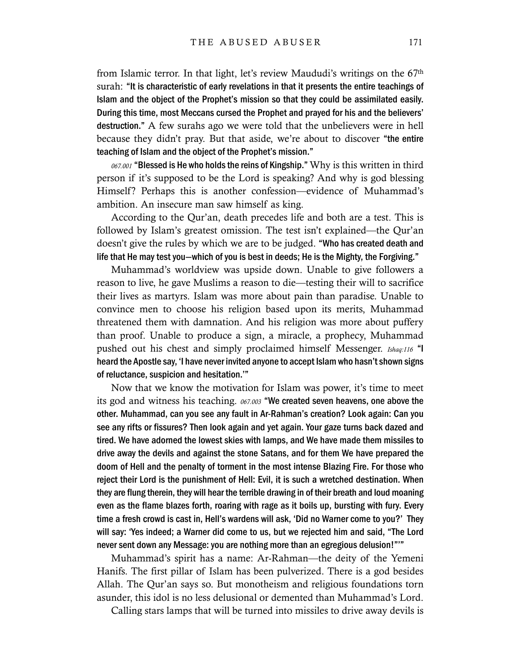from Islamic terror. In that light, let's review Maududi's writings on the 67th surah: "It is characteristic of early revelations in that it presents the entire teachings of Islam and the object of the Prophet's mission so that they could be assimilated easily. During this time, most Meccans cursed the Prophet and prayed for his and the believers' destruction." A few surahs ago we were told that the unbelievers were in hell because they didn't pray. But that aside, we're about to discover "the entire teaching of Islam and the object of the Prophet's mission."

*067.001* "Blessed is He who holds the reins of Kingship." Why is this written in third person if it's supposed to be the Lord is speaking? And why is god blessing Himself? Perhaps this is another confession—evidence of Muhammad's ambition. An insecure man saw himself as king.

According to the Qur'an, death precedes life and both are a test. This is followed by Islam's greatest omission. The test isn't explained—the Qur'an doesn't give the rules by which we are to be judged. "Who has created death and life that He may test you—which of you is best in deeds; He is the Mighty, the Forgiving."

Muhammad's worldview was upside down. Unable to give followers a reason to live, he gave Muslims a reason to die—testing their will to sacrifice their lives as martyrs. Islam was more about pain than paradise. Unable to convince men to choose his religion based upon its merits, Muhammad threatened them with damnation. And his religion was more about puffery than proof. Unable to produce a sign, a miracle, a prophecy, Muhammad pushed out his chest and simply proclaimed himself Messenger. *Ishaq:116* "I heard the Apostle say, 'I have never invited anyone to accept Islam who hasn't shown signs of reluctance, suspicion and hesitation.'"

Now that we know the motivation for Islam was power, it's time to meet its god and witness his teaching. *067.003* "We created seven heavens, one above the other. Muhammad, can you see any fault in Ar-Rahman's creation? Look again: Can you see any rifts or fissures? Then look again and yet again. Your gaze turns back dazed and tired. We have adorned the lowest skies with lamps, and We have made them missiles to drive away the devils and against the stone Satans, and for them We have prepared the doom of Hell and the penalty of torment in the most intense Blazing Fire. For those who reject their Lord is the punishment of Hell: Evil, it is such a wretched destination. When they are flung therein, they will hear the terrible drawing in of their breath and loud moaning even as the flame blazes forth, roaring with rage as it boils up, bursting with fury. Every time a fresh crowd is cast in, Hell's wardens will ask, 'Did no Warner come to you?' They will say: 'Yes indeed; a Warner did come to us, but we rejected him and said, "The Lord never sent down any Message: you are nothing more than an egregious delusion!"'"

Muhammad's spirit has a name: Ar-Rahman—the deity of the Yemeni Hanifs. The first pillar of Islam has been pulverized. There is a god besides Allah. The Qur'an says so. But monotheism and religious foundations torn asunder, this idol is no less delusional or demented than Muhammad's Lord.

Calling stars lamps that will be turned into missiles to drive away devils is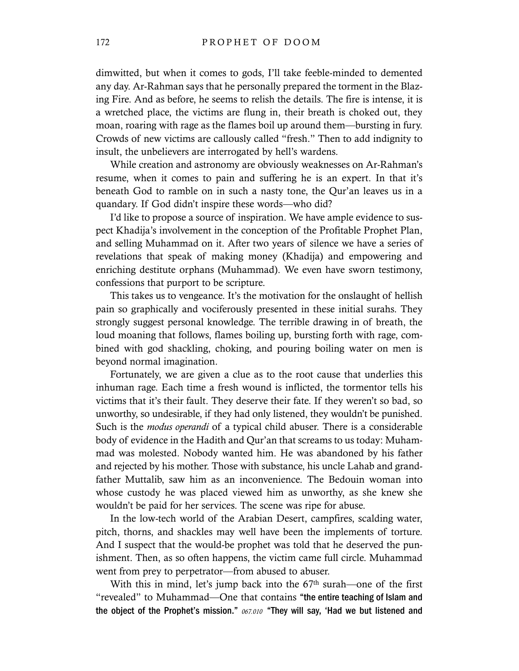dimwitted, but when it comes to gods, I'll take feeble-minded to demented any day. Ar-Rahman says that he personally prepared the torment in the Blazing Fire. And as before, he seems to relish the details. The fire is intense, it is a wretched place, the victims are flung in, their breath is choked out, they moan, roaring with rage as the flames boil up around them—bursting in fury. Crowds of new victims are callously called "fresh." Then to add indignity to insult, the unbelievers are interrogated by hell's wardens.

While creation and astronomy are obviously weaknesses on Ar-Rahman's resume, when it comes to pain and suffering he is an expert. In that it's beneath God to ramble on in such a nasty tone, the Qur'an leaves us in a quandary. If God didn't inspire these words—who did?

I'd like to propose a source of inspiration. We have ample evidence to suspect Khadija's involvement in the conception of the Profitable Prophet Plan, and selling Muhammad on it. After two years of silence we have a series of revelations that speak of making money (Khadija) and empowering and enriching destitute orphans (Muhammad). We even have sworn testimony, confessions that purport to be scripture.

This takes us to vengeance. It's the motivation for the onslaught of hellish pain so graphically and vociferously presented in these initial surahs. They strongly suggest personal knowledge. The terrible drawing in of breath, the loud moaning that follows, flames boiling up, bursting forth with rage, combined with god shackling, choking, and pouring boiling water on men is beyond normal imagination.

Fortunately, we are given a clue as to the root cause that underlies this inhuman rage. Each time a fresh wound is inflicted, the tormentor tells his victims that it's their fault. They deserve their fate. If they weren't so bad, so unworthy, so undesirable, if they had only listened, they wouldn't be punished. Such is the *modus operandi* of a typical child abuser. There is a considerable body of evidence in the Hadith and Qur'an that screams to us today: Muhammad was molested. Nobody wanted him. He was abandoned by his father and rejected by his mother. Those with substance, his uncle Lahab and grandfather Muttalib, saw him as an inconvenience. The Bedouin woman into whose custody he was placed viewed him as unworthy, as she knew she wouldn't be paid for her services. The scene was ripe for abuse.

In the low-tech world of the Arabian Desert, campfires, scalding water, pitch, thorns, and shackles may well have been the implements of torture. And I suspect that the would-be prophet was told that he deserved the punishment. Then, as so often happens, the victim came full circle. Muhammad went from prey to perpetrator—from abused to abuser.

With this in mind, let's jump back into the 67<sup>th</sup> surah—one of the first "revealed" to Muhammad—One that contains "the entire teaching of Islam and the object of the Prophet's mission." *067.010* "They will say, 'Had we but listened and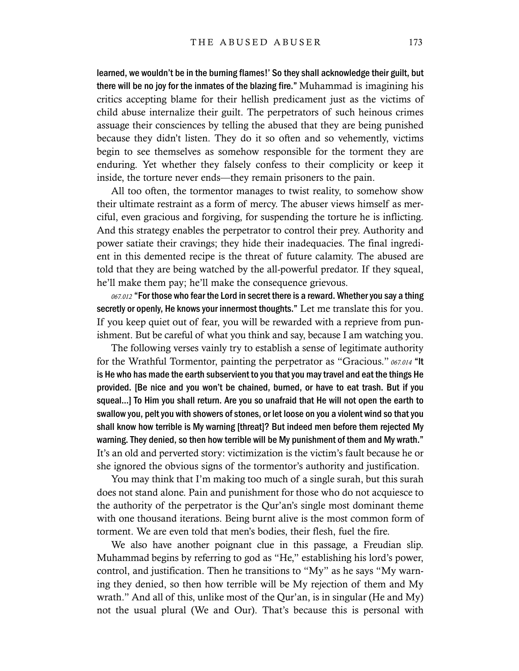learned, we wouldn't be in the burning flames!' So they shall acknowledge their guilt, but there will be no joy for the inmates of the blazing fire." Muhammad is imagining his critics accepting blame for their hellish predicament just as the victims of child abuse internalize their guilt. The perpetrators of such heinous crimes assuage their consciences by telling the abused that they are being punished because they didn't listen. They do it so often and so vehemently, victims begin to see themselves as somehow responsible for the torment they are enduring. Yet whether they falsely confess to their complicity or keep it inside, the torture never ends—they remain prisoners to the pain.

All too often, the tormentor manages to twist reality, to somehow show their ultimate restraint as a form of mercy. The abuser views himself as merciful, even gracious and forgiving, for suspending the torture he is inflicting. And this strategy enables the perpetrator to control their prey. Authority and power satiate their cravings; they hide their inadequacies. The final ingredient in this demented recipe is the threat of future calamity. The abused are told that they are being watched by the all-powerful predator. If they squeal, he'll make them pay; he'll make the consequence grievous.

*067.012* "For those who fear the Lord in secret there is a reward. Whether you say a thing secretly or openly, He knows your innermost thoughts." Let me translate this for you. If you keep quiet out of fear, you will be rewarded with a reprieve from punishment. But be careful of what you think and say, because I am watching you.

The following verses vainly try to establish a sense of legitimate authority for the Wrathful Tormentor, painting the perpetrator as "Gracious." *067.014* "It is He who has made the earth subservient to you that you may travel and eat the things He provided. [Be nice and you won't be chained, burned, or have to eat trash. But if you squeal…] To Him you shall return. Are you so unafraid that He will not open the earth to swallow you, pelt you with showers of stones, or let loose on you a violent wind so that you shall know how terrible is My warning [threat]? But indeed men before them rejected My warning. They denied, so then how terrible will be My punishment of them and My wrath." It's an old and perverted story: victimization is the victim's fault because he or she ignored the obvious signs of the tormentor's authority and justification.

You may think that I'm making too much of a single surah, but this surah does not stand alone. Pain and punishment for those who do not acquiesce to the authority of the perpetrator is the Qur'an's single most dominant theme with one thousand iterations. Being burnt alive is the most common form of torment. We are even told that men's bodies, their flesh, fuel the fire.

We also have another poignant clue in this passage, a Freudian slip. Muhammad begins by referring to god as "He," establishing his lord's power, control, and justification. Then he transitions to "My" as he says "My warning they denied, so then how terrible will be My rejection of them and My wrath." And all of this, unlike most of the Qur'an, is in singular (He and My) not the usual plural (We and Our). That's because this is personal with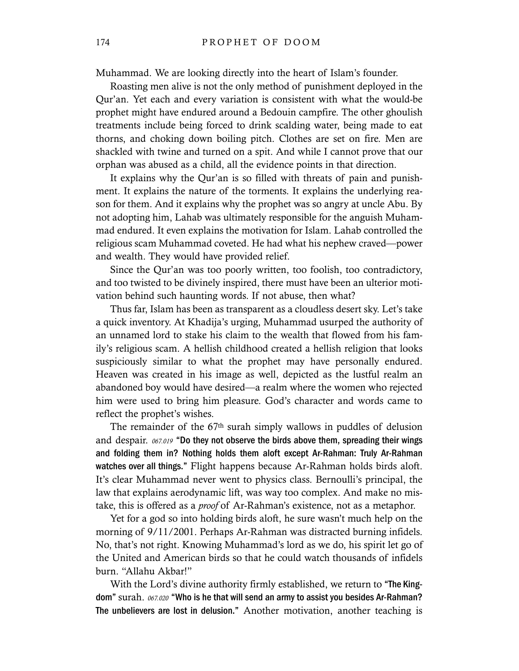Muhammad. We are looking directly into the heart of Islam's founder.

Roasting men alive is not the only method of punishment deployed in the Qur'an. Yet each and every variation is consistent with what the would-be prophet might have endured around a Bedouin campfire. The other ghoulish treatments include being forced to drink scalding water, being made to eat thorns, and choking down boiling pitch. Clothes are set on fire. Men are shackled with twine and turned on a spit. And while I cannot prove that our orphan was abused as a child, all the evidence points in that direction.

It explains why the Qur'an is so filled with threats of pain and punishment. It explains the nature of the torments. It explains the underlying reason for them. And it explains why the prophet was so angry at uncle Abu. By not adopting him, Lahab was ultimately responsible for the anguish Muhammad endured. It even explains the motivation for Islam. Lahab controlled the religious scam Muhammad coveted. He had what his nephew craved—power and wealth. They would have provided relief.

Since the Qur'an was too poorly written, too foolish, too contradictory, and too twisted to be divinely inspired, there must have been an ulterior motivation behind such haunting words. If not abuse, then what?

Thus far, Islam has been as transparent as a cloudless desert sky. Let's take a quick inventory. At Khadija's urging, Muhammad usurped the authority of an unnamed lord to stake his claim to the wealth that flowed from his family's religious scam. A hellish childhood created a hellish religion that looks suspiciously similar to what the prophet may have personally endured. Heaven was created in his image as well, depicted as the lustful realm an abandoned boy would have desired—a realm where the women who rejected him were used to bring him pleasure. God's character and words came to reflect the prophet's wishes.

The remainder of the 67<sup>th</sup> surah simply wallows in puddles of delusion and despair. *067.019* "Do they not observe the birds above them, spreading their wings and folding them in? Nothing holds them aloft except Ar-Rahman: Truly Ar-Rahman watches over all things." Flight happens because Ar-Rahman holds birds aloft. It's clear Muhammad never went to physics class. Bernoulli's principal, the law that explains aerodynamic lift, was way too complex. And make no mistake, this is offered as a *proof* of Ar-Rahman's existence, not as a metaphor.

Yet for a god so into holding birds aloft, he sure wasn't much help on the morning of 9/11/2001. Perhaps Ar-Rahman was distracted burning infidels. No, that's not right. Knowing Muhammad's lord as we do, his spirit let go of the United and American birds so that he could watch thousands of infidels burn. "Allahu Akbar!"

With the Lord's divine authority firmly established, we return to "The Kingdom" surah. *067.020* "Who is he that will send an army to assist you besides Ar-Rahman? The unbelievers are lost in delusion." Another motivation, another teaching is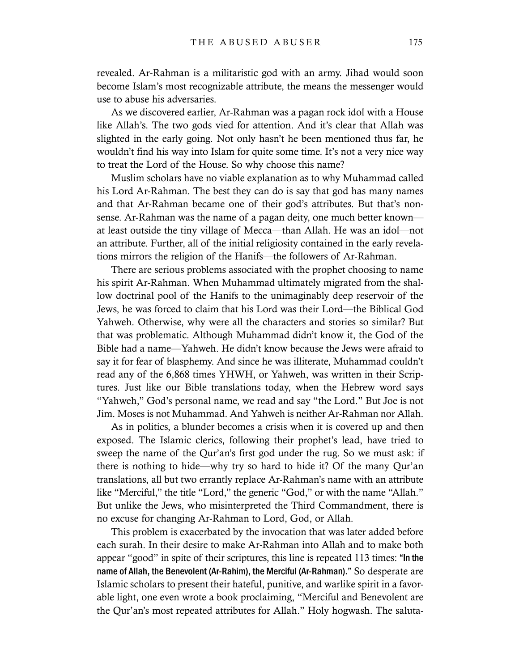revealed. Ar-Rahman is a militaristic god with an army. Jihad would soon become Islam's most recognizable attribute, the means the messenger would use to abuse his adversaries.

As we discovered earlier, Ar-Rahman was a pagan rock idol with a House like Allah's. The two gods vied for attention. And it's clear that Allah was slighted in the early going. Not only hasn't he been mentioned thus far, he wouldn't find his way into Islam for quite some time. It's not a very nice way to treat the Lord of the House. So why choose this name?

Muslim scholars have no viable explanation as to why Muhammad called his Lord Ar-Rahman. The best they can do is say that god has many names and that Ar-Rahman became one of their god's attributes. But that's nonsense. Ar-Rahman was the name of a pagan deity, one much better known at least outside the tiny village of Mecca—than Allah. He was an idol—not an attribute. Further, all of the initial religiosity contained in the early revelations mirrors the religion of the Hanifs—the followers of Ar-Rahman.

There are serious problems associated with the prophet choosing to name his spirit Ar-Rahman. When Muhammad ultimately migrated from the shallow doctrinal pool of the Hanifs to the unimaginably deep reservoir of the Jews, he was forced to claim that his Lord was their Lord—the Biblical God Yahweh. Otherwise, why were all the characters and stories so similar? But that was problematic. Although Muhammad didn't know it, the God of the Bible had a name—Yahweh. He didn't know because the Jews were afraid to say it for fear of blasphemy. And since he was illiterate, Muhammad couldn't read any of the 6,868 times YHWH, or Yahweh, was written in their Scriptures. Just like our Bible translations today, when the Hebrew word says "Yahweh," God's personal name, we read and say "the Lord." But Joe is not Jim. Moses is not Muhammad. And Yahweh is neither Ar-Rahman nor Allah.

As in politics, a blunder becomes a crisis when it is covered up and then exposed. The Islamic clerics, following their prophet's lead, have tried to sweep the name of the Qur'an's first god under the rug. So we must ask: if there is nothing to hide—why try so hard to hide it? Of the many Qur'an translations, all but two errantly replace Ar-Rahman's name with an attribute like "Merciful," the title "Lord," the generic "God," or with the name "Allah." But unlike the Jews, who misinterpreted the Third Commandment, there is no excuse for changing Ar-Rahman to Lord, God, or Allah.

This problem is exacerbated by the invocation that was later added before each surah. In their desire to make Ar-Rahman into Allah and to make both appear "good" in spite of their scriptures, this line is repeated 113 times: "In the name of Allah, the Benevolent (Ar-Rahim), the Merciful (Ar-Rahman)." So desperate are Islamic scholars to present their hateful, punitive, and warlike spirit in a favorable light, one even wrote a book proclaiming, "Merciful and Benevolent are the Qur'an's most repeated attributes for Allah." Holy hogwash. The saluta-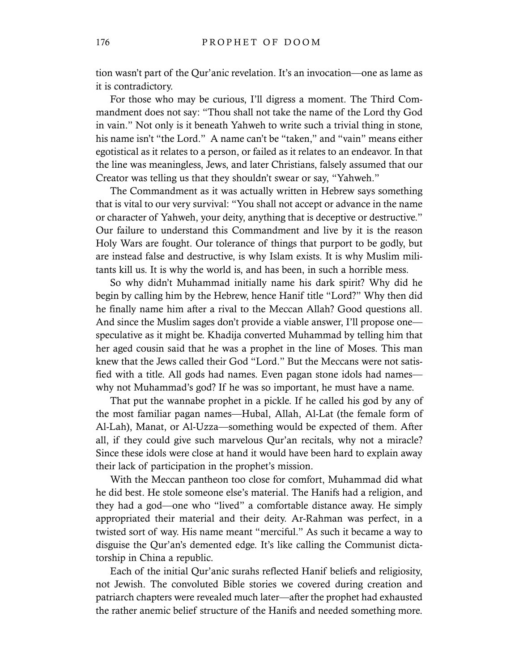tion wasn't part of the Qur'anic revelation. It's an invocation—one as lame as it is contradictory.

For those who may be curious, I'll digress a moment. The Third Commandment does not say: "Thou shall not take the name of the Lord thy God in vain." Not only is it beneath Yahweh to write such a trivial thing in stone, his name isn't "the Lord." A name can't be "taken," and "vain" means either egotistical as it relates to a person, or failed as it relates to an endeavor. In that the line was meaningless, Jews, and later Christians, falsely assumed that our Creator was telling us that they shouldn't swear or say, "Yahweh."

The Commandment as it was actually written in Hebrew says something that is vital to our very survival: "You shall not accept or advance in the name or character of Yahweh, your deity, anything that is deceptive or destructive." Our failure to understand this Commandment and live by it is the reason Holy Wars are fought. Our tolerance of things that purport to be godly, but are instead false and destructive, is why Islam exists. It is why Muslim militants kill us. It is why the world is, and has been, in such a horrible mess.

So why didn't Muhammad initially name his dark spirit? Why did he begin by calling him by the Hebrew, hence Hanif title "Lord?" Why then did he finally name him after a rival to the Meccan Allah? Good questions all. And since the Muslim sages don't provide a viable answer, I'll propose one speculative as it might be. Khadija converted Muhammad by telling him that her aged cousin said that he was a prophet in the line of Moses. This man knew that the Jews called their God "Lord." But the Meccans were not satisfied with a title. All gods had names. Even pagan stone idols had names why not Muhammad's god? If he was so important, he must have a name.

That put the wannabe prophet in a pickle. If he called his god by any of the most familiar pagan names—Hubal, Allah, Al-Lat (the female form of Al-Lah), Manat, or Al-Uzza—something would be expected of them. After all, if they could give such marvelous Qur'an recitals, why not a miracle? Since these idols were close at hand it would have been hard to explain away their lack of participation in the prophet's mission.

With the Meccan pantheon too close for comfort, Muhammad did what he did best. He stole someone else's material. The Hanifs had a religion, and they had a god—one who "lived" a comfortable distance away. He simply appropriated their material and their deity. Ar-Rahman was perfect, in a twisted sort of way. His name meant "merciful." As such it became a way to disguise the Qur'an's demented edge. It's like calling the Communist dictatorship in China a republic.

Each of the initial Qur'anic surahs reflected Hanif beliefs and religiosity, not Jewish. The convoluted Bible stories we covered during creation and patriarch chapters were revealed much later—after the prophet had exhausted the rather anemic belief structure of the Hanifs and needed something more.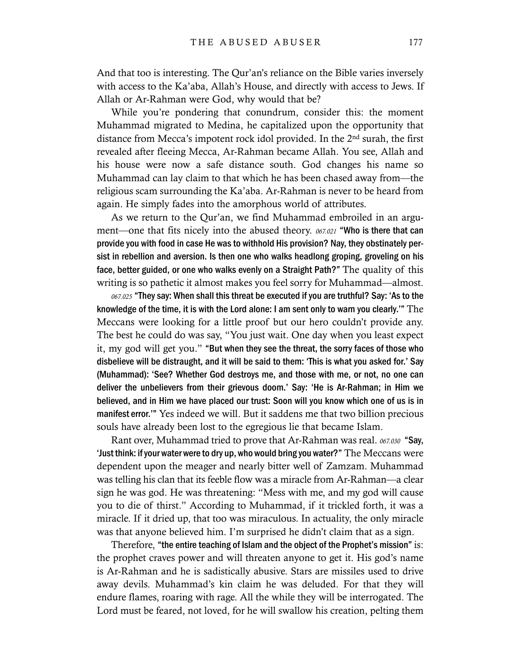And that too is interesting. The Qur'an's reliance on the Bible varies inversely with access to the Ka'aba, Allah's House, and directly with access to Jews. If Allah or Ar-Rahman were God, why would that be?

While you're pondering that conundrum, consider this: the moment Muhammad migrated to Medina, he capitalized upon the opportunity that distance from Mecca's impotent rock idol provided. In the 2nd surah, the first revealed after fleeing Mecca, Ar-Rahman became Allah. You see, Allah and his house were now a safe distance south. God changes his name so Muhammad can lay claim to that which he has been chased away from—the religious scam surrounding the Ka'aba. Ar-Rahman is never to be heard from again. He simply fades into the amorphous world of attributes.

As we return to the Qur'an, we find Muhammad embroiled in an argument—one that fits nicely into the abused theory. *067.021* "Who is there that can provide you with food in case He was to withhold His provision? Nay, they obstinately persist in rebellion and aversion. Is then one who walks headlong groping, groveling on his face, better guided, or one who walks evenly on a Straight Path?" The quality of this writing is so pathetic it almost makes you feel sorry for Muhammad—almost.

*067.025* "They say: When shall this threat be executed if you are truthful? Say: 'As to the knowledge of the time, it is with the Lord alone: I am sent only to warn you clearly.'" The Meccans were looking for a little proof but our hero couldn't provide any. The best he could do was say, "You just wait. One day when you least expect it, my god will get you." "But when they see the threat, the sorry faces of those who disbelieve will be distraught, and it will be said to them: 'This is what you asked for.' Say (Muhammad): 'See? Whether God destroys me, and those with me, or not, no one can deliver the unbelievers from their grievous doom.' Say: 'He is Ar-Rahman; in Him we believed, and in Him we have placed our trust: Soon will you know which one of us is in manifest error.'" Yes indeed we will. But it saddens me that two billion precious souls have already been lost to the egregious lie that became Islam.

Rant over, Muhammad tried to prove that Ar-Rahman was real. *067.030* "Say, 'Just think: if your water were to dry up, who would bring you water?" The Meccans were dependent upon the meager and nearly bitter well of Zamzam. Muhammad was telling his clan that its feeble flow was a miracle from Ar-Rahman—a clear sign he was god. He was threatening: "Mess with me, and my god will cause you to die of thirst." According to Muhammad, if it trickled forth, it was a miracle. If it dried up, that too was miraculous. In actuality, the only miracle was that anyone believed him. I'm surprised he didn't claim that as a sign.

Therefore, "the entire teaching of Islam and the object of the Prophet's mission" is: the prophet craves power and will threaten anyone to get it. His god's name is Ar-Rahman and he is sadistically abusive. Stars are missiles used to drive away devils. Muhammad's kin claim he was deluded. For that they will endure flames, roaring with rage. All the while they will be interrogated. The Lord must be feared, not loved, for he will swallow his creation, pelting them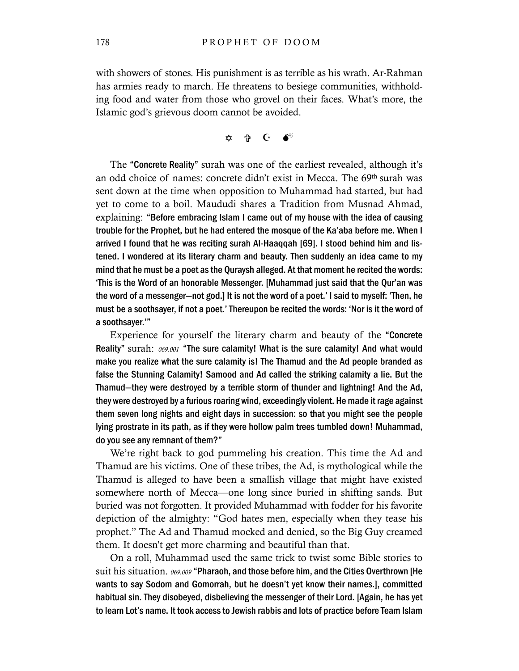with showers of stones. His punishment is as terrible as his wrath. Ar-Rahman has armies ready to march. He threatens to besiege communities, withholding food and water from those who grovel on their faces. What's more, the Islamic god's grievous doom cannot be avoided.

**众 中 C 6<sup>米</sup>** 

The "Concrete Reality" surah was one of the earliest revealed, although it's an odd choice of names: concrete didn't exist in Mecca. The 69th surah was sent down at the time when opposition to Muhammad had started, but had yet to come to a boil. Maududi shares a Tradition from Musnad Ahmad, explaining: "Before embracing Islam I came out of my house with the idea of causing trouble for the Prophet, but he had entered the mosque of the Ka'aba before me. When I arrived I found that he was reciting surah Al-Haaqqah [69]. I stood behind him and listened. I wondered at its literary charm and beauty. Then suddenly an idea came to my mind that he must be a poet as the Quraysh alleged. At that moment he recited the words: 'This is the Word of an honorable Messenger. [Muhammad just said that the Qur'an was the word of a messenger—not god.] It is not the word of a poet.' I said to myself: 'Then, he must be a soothsayer, if not a poet.' Thereupon be recited the words: 'Nor is it the word of a soothsayer.'"

Experience for yourself the literary charm and beauty of the "Concrete Reality" surah: *069.001* "The sure calamity! What is the sure calamity! And what would make you realize what the sure calamity is! The Thamud and the Ad people branded as false the Stunning Calamity! Samood and Ad called the striking calamity a lie. But the Thamud—they were destroyed by a terrible storm of thunder and lightning! And the Ad, they were destroyed by a furious roaring wind, exceedingly violent. He made it rage against them seven long nights and eight days in succession: so that you might see the people lying prostrate in its path, as if they were hollow palm trees tumbled down! Muhammad, do you see any remnant of them?"

We're right back to god pummeling his creation. This time the Ad and Thamud are his victims. One of these tribes, the Ad, is mythological while the Thamud is alleged to have been a smallish village that might have existed somewhere north of Mecca—one long since buried in shifting sands. But buried was not forgotten. It provided Muhammad with fodder for his favorite depiction of the almighty: "God hates men, especially when they tease his prophet." The Ad and Thamud mocked and denied, so the Big Guy creamed them. It doesn't get more charming and beautiful than that.

On a roll, Muhammad used the same trick to twist some Bible stories to suit his situation. *069.009* "Pharaoh, and those before him, and the Cities Overthrown [He wants to say Sodom and Gomorrah, but he doesn't yet know their names.], committed habitual sin. They disobeyed, disbelieving the messenger of their Lord. [Again, he has yet to learn Lot's name. It took access to Jewish rabbis and lots of practice before Team Islam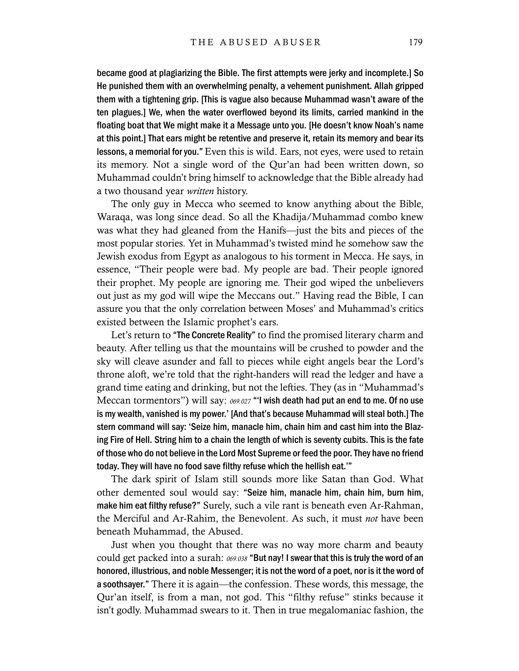became good at plagiarizing the Bible. The first attempts were jerky and incomplete.] So He punished them with an overwhelming penalty, a vehement punishment. Allah gripped them with a tightening grip. [This is vague also because Muhammad wasn't aware of the ten plagues.] We, when the water overflowed beyond its limits, carried mankind in the floating boat that We might make it a Message unto you. [He doesn't know Noah's name at this point.] That ears might be retentive and preserve it, retain its memory and bear its lessons, a memorial for you." Even this is wild. Ears, not eyes, were used to retain its memory. Not a single word of the Qur'an had been written down, so Muhammad couldn't bring himself to acknowledge that the Bible already had a two thousand year *written* history.

The only guy in Mecca who seemed to know anything about the Bible, Waraqa, was long since dead. So all the Khadija/Muhammad combo knew was what they had gleaned from the Hanifs—just the bits and pieces of the most popular stories. Yet in Muhammad's twisted mind he somehow saw the Jewish exodus from Egypt as analogous to his torment in Mecca. He says, in essence, "Their people were bad. My people are bad. Their people ignored their prophet. My people are ignoring me. Their god wiped the unbelievers out just as my god will wipe the Meccans out." Having read the Bible, I can assure you that the only correlation between Moses' and Muhammad's critics existed between the Islamic prophet's ears.

Let's return to "The Concrete Reality" to find the promised literary charm and beauty. After telling us that the mountains will be crushed to powder and the sky will cleave asunder and fall to pieces while eight angels bear the Lord's throne aloft, we're told that the right-handers will read the ledger and have a grand time eating and drinking, but not the lefties. They (as in "Muhammad's Meccan tormentors") will say: *069.027* "'I wish death had put an end to me. Of no use is my wealth, vanished is my power.' [And that's because Muhammad will steal both.] The stern command will say: 'Seize him, manacle him, chain him and cast him into the Blazing Fire of Hell. String him to a chain the length of which is seventy cubits. This is the fate of those who do not believe in the Lord Most Supreme or feed the poor. They have no friend today. They will have no food save filthy refuse which the hellish eat.'"

The dark spirit of Islam still sounds more like Satan than God. What other demented soul would say: "Seize him, manacle him, chain him, burn him, make him eat filthy refuse?" Surely, such a vile rant is beneath even Ar-Rahman, the Merciful and Ar-Rahim, the Benevolent. As such, it must *not* have been beneath Muhammad, the Abused.

Just when you thought that there was no way more charm and beauty could get packed into a surah: *069.038* "But nay! I swear that this is truly the word of an honored, illustrious, and noble Messenger; it is not the word of a poet, nor is it the word of a soothsayer." There it is again—the confession. These words, this message, the Qur'an itself, is from a man, not god. This "filthy refuse" stinks because it isn't godly. Muhammad swears to it. Then in true megalomaniac fashion, the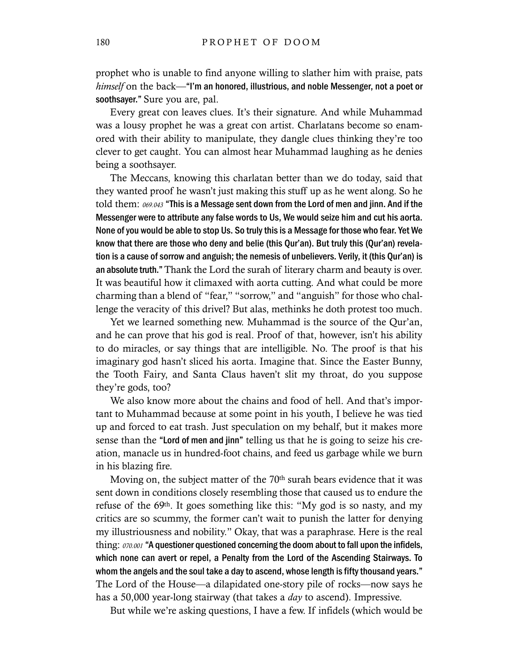prophet who is unable to find anyone willing to slather him with praise, pats *himself* on the back—"I'm an honored, illustrious, and noble Messenger, not a poet or soothsayer." Sure you are, pal.

Every great con leaves clues. It's their signature. And while Muhammad was a lousy prophet he was a great con artist. Charlatans become so enamored with their ability to manipulate, they dangle clues thinking they're too clever to get caught. You can almost hear Muhammad laughing as he denies being a soothsayer.

The Meccans, knowing this charlatan better than we do today, said that they wanted proof he wasn't just making this stuff up as he went along. So he told them: *069.043* "This is a Message sent down from the Lord of men and jinn. And if the Messenger were to attribute any false words to Us, We would seize him and cut his aorta. None of you would be able to stop Us. So truly this is a Message for those who fear. Yet We know that there are those who deny and belie (this Qur'an). But truly this (Qur'an) revelation is a cause of sorrow and anguish; the nemesis of unbelievers. Verily, it (this Qur'an) is an absolute truth." Thank the Lord the surah of literary charm and beauty is over. It was beautiful how it climaxed with aorta cutting. And what could be more charming than a blend of "fear," "sorrow," and "anguish" for those who challenge the veracity of this drivel? But alas, methinks he doth protest too much.

Yet we learned something new. Muhammad is the source of the Qur'an, and he can prove that his god is real. Proof of that, however, isn't his ability to do miracles, or say things that are intelligible. No. The proof is that his imaginary god hasn't sliced his aorta. Imagine that. Since the Easter Bunny, the Tooth Fairy, and Santa Claus haven't slit my throat, do you suppose they're gods, too?

We also know more about the chains and food of hell. And that's important to Muhammad because at some point in his youth, I believe he was tied up and forced to eat trash. Just speculation on my behalf, but it makes more sense than the "Lord of men and jinn" telling us that he is going to seize his creation, manacle us in hundred-foot chains, and feed us garbage while we burn in his blazing fire.

Moving on, the subject matter of the 70<sup>th</sup> surah bears evidence that it was sent down in conditions closely resembling those that caused us to endure the refuse of the 69th. It goes something like this: "My god is so nasty, and my critics are so scummy, the former can't wait to punish the latter for denying my illustriousness and nobility." Okay, that was a paraphrase. Here is the real thing: *070.001* "A questioner questioned concerning the doom about to fall upon the infidels, which none can avert or repel, a Penalty from the Lord of the Ascending Stairways. To whom the angels and the soul take a day to ascend, whose length is fifty thousand years." The Lord of the House—a dilapidated one-story pile of rocks—now says he has a 50,000 year-long stairway (that takes a *day* to ascend). Impressive.

But while we're asking questions, I have a few. If infidels (which would be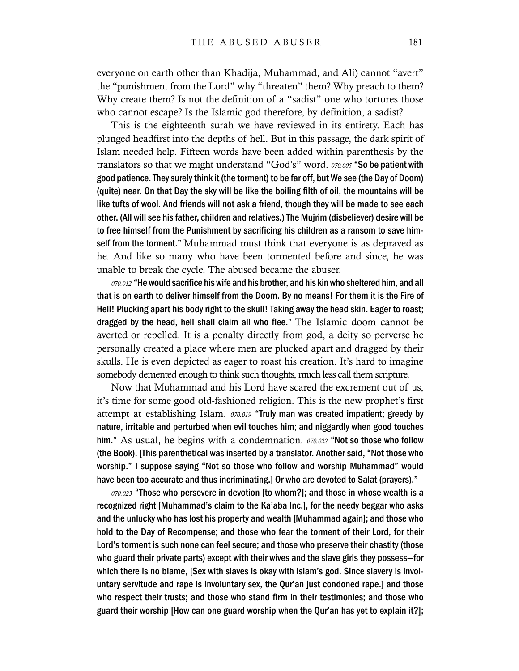everyone on earth other than Khadija, Muhammad, and Ali) cannot "avert" the "punishment from the Lord" why "threaten" them? Why preach to them? Why create them? Is not the definition of a "sadist" one who tortures those who cannot escape? Is the Islamic god therefore, by definition, a sadist?

This is the eighteenth surah we have reviewed in its entirety. Each has plunged headfirst into the depths of hell. But in this passage, the dark spirit of Islam needed help. Fifteen words have been added within parenthesis by the translators so that we might understand "God's" word. *070.005* "So be patient with good patience. They surely think it (the torment) to be far off, but We see (the Day of Doom) (quite) near. On that Day the sky will be like the boiling filth of oil, the mountains will be like tufts of wool. And friends will not ask a friend, though they will be made to see each other. (All will see his father, children and relatives.) The Mujrim (disbeliever) desire will be to free himself from the Punishment by sacrificing his children as a ransom to save himself from the torment." Muhammad must think that everyone is as depraved as he. And like so many who have been tormented before and since, he was unable to break the cycle. The abused became the abuser.

*070.012* "He would sacrifice his wife and his brother, and his kin who sheltered him, and all that is on earth to deliver himself from the Doom. By no means! For them it is the Fire of Hell! Plucking apart his body right to the skull! Taking away the head skin. Eager to roast; dragged by the head, hell shall claim all who flee." The Islamic doom cannot be averted or repelled. It is a penalty directly from god, a deity so perverse he personally created a place where men are plucked apart and dragged by their skulls. He is even depicted as eager to roast his creation. It's hard to imagine somebody demented enough to think such thoughts, much less call them scripture.

Now that Muhammad and his Lord have scared the excrement out of us, it's time for some good old-fashioned religion. This is the new prophet's first attempt at establishing Islam. *070.019* "Truly man was created impatient; greedy by nature, irritable and perturbed when evil touches him; and niggardly when good touches him." As usual, he begins with a condemnation. *070.022* "Not so those who follow (the Book). [This parenthetical was inserted by a translator. Another said, "Not those who worship." I suppose saying "Not so those who follow and worship Muhammad" would have been too accurate and thus incriminating.] Or who are devoted to Salat (prayers)."

*070.023* "Those who persevere in devotion [to whom?]; and those in whose wealth is a recognized right [Muhammad's claim to the Ka'aba Inc.], for the needy beggar who asks and the unlucky who has lost his property and wealth [Muhammad again]; and those who hold to the Day of Recompense; and those who fear the torment of their Lord, for their Lord's torment is such none can feel secure; and those who preserve their chastity (those who guard their private parts) except with their wives and the slave girls they possess—for which there is no blame, [Sex with slaves is okay with Islam's god. Since slavery is involuntary servitude and rape is involuntary sex, the Qur'an just condoned rape.] and those who respect their trusts; and those who stand firm in their testimonies; and those who guard their worship [How can one guard worship when the Qur'an has yet to explain it?];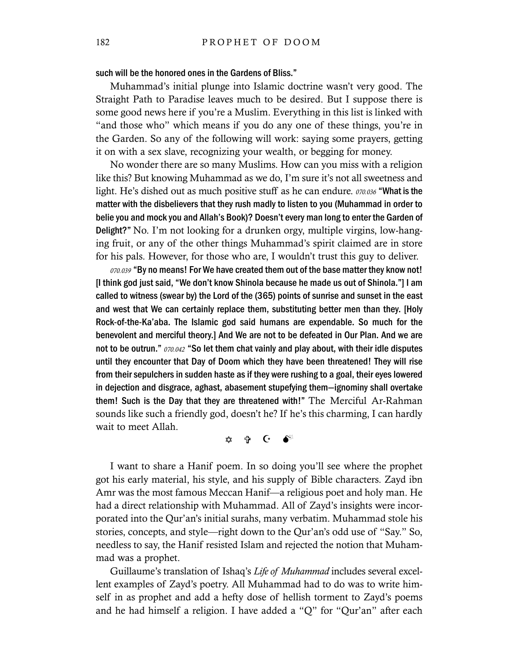such will be the honored ones in the Gardens of Bliss."

Muhammad's initial plunge into Islamic doctrine wasn't very good. The Straight Path to Paradise leaves much to be desired. But I suppose there is some good news here if you're a Muslim. Everything in this list is linked with "and those who" which means if you do any one of these things, you're in the Garden. So any of the following will work: saying some prayers, getting it on with a sex slave, recognizing your wealth, or begging for money.

No wonder there are so many Muslims. How can you miss with a religion like this? But knowing Muhammad as we do, I'm sure it's not all sweetness and light. He's dished out as much positive stuff as he can endure. *070.036* "What is the matter with the disbelievers that they rush madly to listen to you (Muhammad in order to belie you and mock you and Allah's Book)? Doesn't every man long to enter the Garden of Delight?" No. I'm not looking for a drunken orgy, multiple virgins, low-hanging fruit, or any of the other things Muhammad's spirit claimed are in store for his pals. However, for those who are, I wouldn't trust this guy to deliver.

*070.039* "By no means! For We have created them out of the base matter they know not! [I think god just said, "We don't know Shinola because he made us out of Shinola."] I am called to witness (swear by) the Lord of the (365) points of sunrise and sunset in the east and west that We can certainly replace them, substituting better men than they. [Holy Rock-of-the-Ka'aba. The Islamic god said humans are expendable. So much for the benevolent and merciful theory.] And We are not to be defeated in Our Plan. And we are not to be outrun." *070.042* "So let them chat vainly and play about, with their idle disputes until they encounter that Day of Doom which they have been threatened! They will rise from their sepulchers in sudden haste as if they were rushing to a goal, their eyes lowered in dejection and disgrace, aghast, abasement stupefying them—ignominy shall overtake them! Such is the Day that they are threatened with!" The Merciful Ar-Rahman sounds like such a friendly god, doesn't he? If he's this charming, I can hardly wait to meet Allah.

## $\hat{\mathbf{x}}$   $\mathbf{h}$   $\mathbf{G}$   $\mathbf{S}^*$

I want to share a Hanif poem. In so doing you'll see where the prophet got his early material, his style, and his supply of Bible characters. Zayd ibn Amr was the most famous Meccan Hanif—a religious poet and holy man. He had a direct relationship with Muhammad. All of Zayd's insights were incorporated into the Qur'an's initial surahs, many verbatim. Muhammad stole his stories, concepts, and style—right down to the Qur'an's odd use of "Say." So, needless to say, the Hanif resisted Islam and rejected the notion that Muhammad was a prophet.

Guillaume's translation of Ishaq's *Life of Muhammad* includes several excellent examples of Zayd's poetry. All Muhammad had to do was to write himself in as prophet and add a hefty dose of hellish torment to Zayd's poems and he had himself a religion. I have added a "Q" for "Qur'an" after each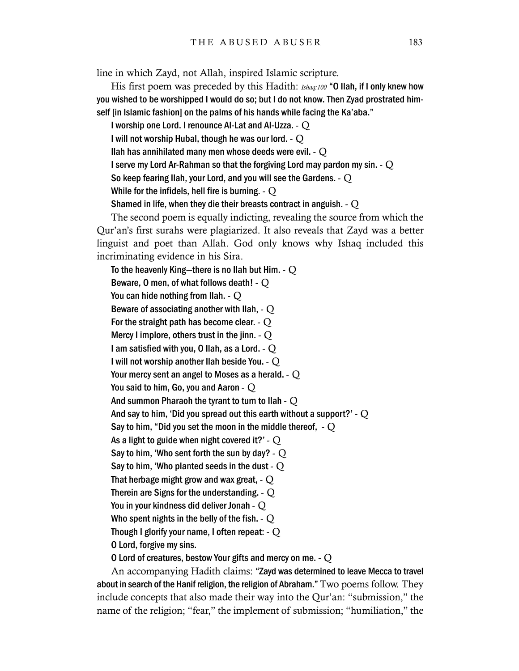line in which Zayd, not Allah, inspired Islamic scripture.

His first poem was preceded by this Hadith: *Ishaq:100* "O Ilah, if I only knew how you wished to be worshipped I would do so; but I do not know. Then Zyad prostrated himself [in Islamic fashion] on the palms of his hands while facing the Ka'aba."

I worship one Lord. I renounce Al-Lat and Al-Uzza. - Q

I will not worship Hubal, though he was our lord. - Q

Ilah has annihilated many men whose deeds were evil. - Q

I serve my Lord Ar-Rahman so that the forgiving Lord may pardon my sin. - Q

So keep fearing Ilah, your Lord, and you will see the Gardens. - Q

While for the infidels, hell fire is burning. - Q

Shamed in life, when they die their breasts contract in anguish. - Q

The second poem is equally indicting, revealing the source from which the Qur'an's first surahs were plagiarized. It also reveals that Zayd was a better linguist and poet than Allah. God only knows why Ishaq included this incriminating evidence in his Sira.

To the heavenly King—there is no Ilah but Him. - Q Beware, O men, of what follows death! - Q You can hide nothing from Ilah. - Q Beware of associating another with Ilah, - Q For the straight path has become clear. - Q Mercy I implore, others trust in the jinn. - Q I am satisfied with you, O Ilah, as a Lord. - Q I will not worship another Ilah beside You. - Q Your mercy sent an angel to Moses as a herald. - Q You said to him, Go, you and Aaron - O And summon Pharaoh the tyrant to turn to Ilah - Q And say to him, 'Did you spread out this earth without a support?' -  $Q$ Say to him, "Did you set the moon in the middle thereof,  $-Q$ As a light to guide when night covered it?' - Q Say to him, 'Who sent forth the sun by day? - Q Say to him, 'Who planted seeds in the dust - Q That herbage might grow and wax great, - Q Therein are Signs for the understanding. - Q You in your kindness did deliver Jonah - Q Who spent nights in the belly of the fish. - Q Though I glorify your name, I often repeat: - Q O Lord, forgive my sins. O Lord of creatures, bestow Your gifts and mercy on me. - Q

An accompanying Hadith claims: "Zayd was determined to leave Mecca to travel about in search of the Hanif religion, the religion of Abraham." Two poems follow. They include concepts that also made their way into the Qur'an: "submission," the name of the religion; "fear," the implement of submission; "humiliation," the